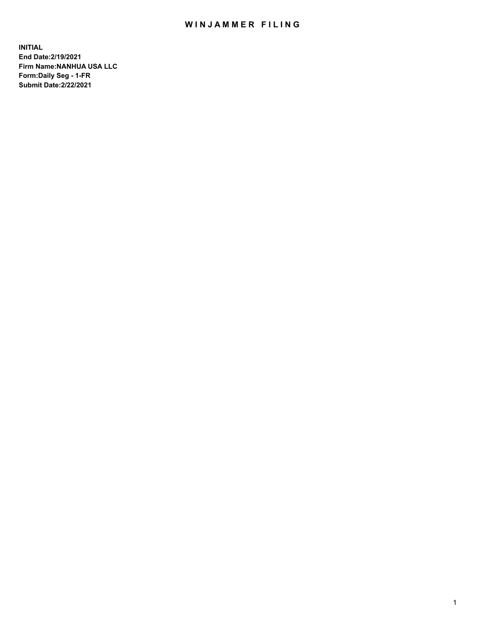## WIN JAMMER FILING

**INITIAL End Date:2/19/2021 Firm Name:NANHUA USA LLC Form:Daily Seg - 1-FR Submit Date:2/22/2021**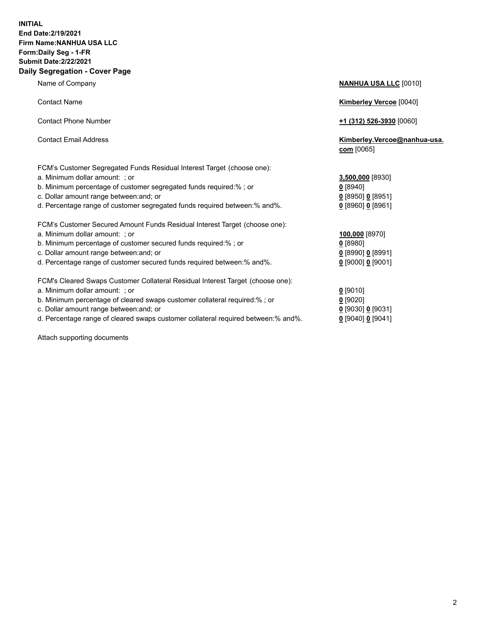## **INITIAL End Date:2/19/2021 Firm Name:NANHUA USA LLC Form:Daily Seg - 1-FR Submit Date:2/22/2021 Daily Segregation - Cover Page**

Name of Company **NANHUA USA LLC** [0010] Contact Name **Kimberley Vercoe** [0040] Contact Phone Number **+1 (312) 526-3930** [0060] Contact Email Address **Kimberley.Vercoe@nanhua-usa. com** [0065] FCM's Customer Segregated Funds Residual Interest Target (choose one): a. Minimum dollar amount: ; or **3,500,000** [8930] b. Minimum percentage of customer segregated funds required:% ; or **0** [8940] c. Dollar amount range between:and; or **0** [8950] **0** [8951] d. Percentage range of customer segregated funds required between:% and%. **0** [8960] **0** [8961] FCM's Customer Secured Amount Funds Residual Interest Target (choose one): a. Minimum dollar amount: ; or **100,000** [8970] b. Minimum percentage of customer secured funds required:% ; or **0** [8980] c. Dollar amount range between:and; or **0** [8990] **0** [8991] d. Percentage range of customer secured funds required between:% and%. **0** [9000] **0** [9001] FCM's Cleared Swaps Customer Collateral Residual Interest Target (choose one): a. Minimum dollar amount: ; or **0** [9010] b. Minimum percentage of cleared swaps customer collateral required:% ; or **0** [9020] c. Dollar amount range between:and; or **0** [9030] **0** [9031]

d. Percentage range of cleared swaps customer collateral required between:% and%. **0** [9040] **0** [9041]

Attach supporting documents

| 1. Percentage range of customer segregated funds reguired between:% and%.      | $0$ [8960] 0 [8961] |
|--------------------------------------------------------------------------------|---------------------|
| FCM's Customer Secured Amount Funds Residual Interest Target (choose one):     |                     |
| a. Minimum dollar amount:  ; or                                                | 100,000 [8970]      |
| p. Minimum percentage of customer secured funds required:% ; or                | $0$ [8980]          |
| c. Dollar amount range between:and; or                                         | $0$ [8990] 0 [8991] |
| d. Percentage range of customer secured funds required between:% and%.         | $0$ [9000] 0 [9001] |
| FCM's Cleared Swaps Customer Collateral Residual Interest Target (choose one): |                     |
| a. Minimum dollar amount:  ; or                                                | $0$ [9010]          |
| ). Minimum percentage of cleared swaps customer collateral required:% ; or     | $0$ [9020]          |
| : Dollar amount range between and: or                                          | 0.5003010.500311    |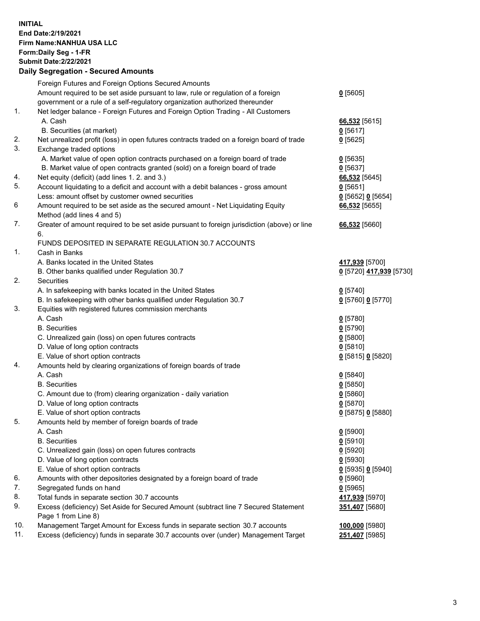## **INITIAL End Date:2/19/2021 Firm Name:NANHUA USA LLC Form:Daily Seg - 1-FR Submit Date:2/22/2021 Daily Segregation - Secured Amounts**

|     | Daily Ocglegation - Occuled Amounts                                                         |                         |
|-----|---------------------------------------------------------------------------------------------|-------------------------|
|     | Foreign Futures and Foreign Options Secured Amounts                                         |                         |
|     | Amount required to be set aside pursuant to law, rule or regulation of a foreign            | $0$ [5605]              |
|     | government or a rule of a self-regulatory organization authorized thereunder                |                         |
| 1.  | Net ledger balance - Foreign Futures and Foreign Option Trading - All Customers             |                         |
|     | A. Cash                                                                                     | 66,532 [5615]           |
|     | B. Securities (at market)                                                                   | $0$ [5617]              |
| 2.  | Net unrealized profit (loss) in open futures contracts traded on a foreign board of trade   | $0$ [5625]              |
| 3.  | Exchange traded options                                                                     |                         |
|     | A. Market value of open option contracts purchased on a foreign board of trade              | $0$ [5635]              |
|     | B. Market value of open contracts granted (sold) on a foreign board of trade                | $0$ [5637]              |
| 4.  | Net equity (deficit) (add lines 1. 2. and 3.)                                               | 66,532 [5645]           |
| 5.  | Account liquidating to a deficit and account with a debit balances - gross amount           | $0$ [5651]              |
|     | Less: amount offset by customer owned securities                                            | $0$ [5652] $0$ [5654]   |
| 6   | Amount required to be set aside as the secured amount - Net Liquidating Equity              | 66,532 [5655]           |
|     | Method (add lines 4 and 5)                                                                  |                         |
| 7.  | Greater of amount required to be set aside pursuant to foreign jurisdiction (above) or line | 66,532 [5660]           |
|     | 6.                                                                                          |                         |
|     | FUNDS DEPOSITED IN SEPARATE REGULATION 30.7 ACCOUNTS                                        |                         |
| 1.  | Cash in Banks                                                                               |                         |
|     | A. Banks located in the United States                                                       | 417,939 [5700]          |
|     | B. Other banks qualified under Regulation 30.7                                              | 0 [5720] 417,939 [5730] |
| 2.  | <b>Securities</b>                                                                           |                         |
|     | A. In safekeeping with banks located in the United States                                   | $0$ [5740]              |
|     | B. In safekeeping with other banks qualified under Regulation 30.7                          | 0 [5760] 0 [5770]       |
| 3.  | Equities with registered futures commission merchants                                       |                         |
|     | A. Cash                                                                                     | $0$ [5780]              |
|     | <b>B.</b> Securities                                                                        | 0[5790]                 |
|     | C. Unrealized gain (loss) on open futures contracts                                         | $0$ [5800]              |
|     | D. Value of long option contracts                                                           | $0$ [5810]              |
|     | E. Value of short option contracts                                                          | 0 [5815] 0 [5820]       |
| 4.  | Amounts held by clearing organizations of foreign boards of trade                           |                         |
|     | A. Cash                                                                                     | $0$ [5840]              |
|     | <b>B.</b> Securities                                                                        | $0$ [5850]              |
|     | C. Amount due to (from) clearing organization - daily variation                             | $0$ [5860]              |
|     | D. Value of long option contracts                                                           | $0$ [5870]              |
|     | E. Value of short option contracts                                                          | 0 [5875] 0 [5880]       |
| 5.  | Amounts held by member of foreign boards of trade                                           |                         |
|     | A. Cash                                                                                     | $0$ [5900]              |
|     | <b>B.</b> Securities                                                                        | $0$ [5910]              |
|     | C. Unrealized gain (loss) on open futures contracts                                         | $0$ [5920]              |
|     | D. Value of long option contracts                                                           | $0$ [5930]              |
|     | E. Value of short option contracts                                                          | 0 [5935] 0 [5940]       |
| 6.  | Amounts with other depositories designated by a foreign board of trade                      | $0$ [5960]              |
| 7.  | Segregated funds on hand                                                                    | $0$ [5965]              |
| 8.  | Total funds in separate section 30.7 accounts                                               | 417,939 [5970]          |
| 9.  | Excess (deficiency) Set Aside for Secured Amount (subtract line 7 Secured Statement         | 351,407 [5680]          |
|     | Page 1 from Line 8)                                                                         |                         |
| 10. | Management Target Amount for Excess funds in separate section 30.7 accounts                 | 100,000 [5980]          |
| 11. | Excess (deficiency) funds in separate 30.7 accounts over (under) Management Target          | 251,407 [5985]          |
|     |                                                                                             |                         |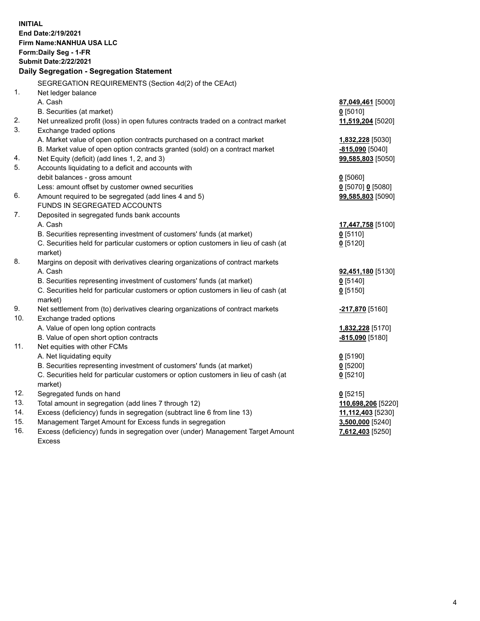**INITIAL End Date:2/19/2021 Firm Name:NANHUA USA LLC Form:Daily Seg - 1-FR Submit Date:2/22/2021 Daily Segregation - Segregation Statement** SEGREGATION REQUIREMENTS (Section 4d(2) of the CEAct) 1. Net ledger balance A. Cash **87,049,461** [5000] B. Securities (at market) **0** [5010] 2. Net unrealized profit (loss) in open futures contracts traded on a contract market **11,519,204** [5020] 3. Exchange traded options A. Market value of open option contracts purchased on a contract market **1,832,228** [5030] B. Market value of open option contracts granted (sold) on a contract market **-815,090** [5040] 4. Net Equity (deficit) (add lines 1, 2, and 3) **99,585,803** [5050] 5. Accounts liquidating to a deficit and accounts with debit balances - gross amount **0** [5060] Less: amount offset by customer owned securities **0** [5070] **0** [5080] 6. Amount required to be segregated (add lines 4 and 5) **99,585,803** [5090] FUNDS IN SEGREGATED ACCOUNTS 7. Deposited in segregated funds bank accounts A. Cash **17,447,758** [5100] B. Securities representing investment of customers' funds (at market) **0** [5110] C. Securities held for particular customers or option customers in lieu of cash (at market) **0** [5120] 8. Margins on deposit with derivatives clearing organizations of contract markets A. Cash **92,451,180** [5130] B. Securities representing investment of customers' funds (at market) **0** [5140] C. Securities held for particular customers or option customers in lieu of cash (at market) **0** [5150] 9. Net settlement from (to) derivatives clearing organizations of contract markets **-217,870** [5160] 10. Exchange traded options A. Value of open long option contracts **1,832,228** [5170] B. Value of open short option contracts **-815,090** [5180] 11. Net equities with other FCMs A. Net liquidating equity **0** [5190] B. Securities representing investment of customers' funds (at market) **0** [5200] C. Securities held for particular customers or option customers in lieu of cash (at market) **0** [5210] 12. Segregated funds on hand **0** [5215] 13. Total amount in segregation (add lines 7 through 12) **110,698,206** [5220] 14. Excess (deficiency) funds in segregation (subtract line 6 from line 13) **11,112,403** [5230] 15. Management Target Amount for Excess funds in segregation **3,500,000** [5240] 16. Excess (deficiency) funds in segregation over (under) Management Target Amount **7,612,403** [5250]

Excess